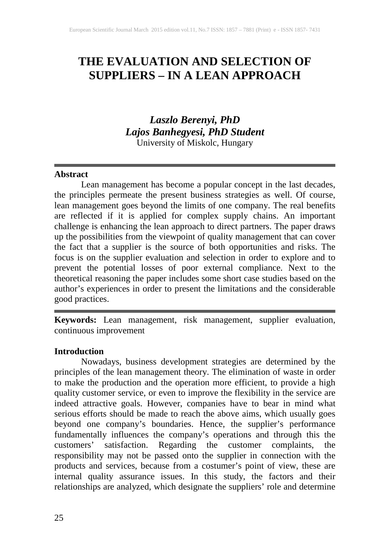# **THE EVALUATION AND SELECTION OF SUPPLIERS – IN A LEAN APPROACH**

# *Laszlo Berenyi, PhD Lajos Banhegyesi, PhD Student* University of Miskolc, Hungary

#### **Abstract**

Lean management has become a popular concept in the last decades, the principles permeate the present business strategies as well. Of course, lean management goes beyond the limits of one company. The real benefits are reflected if it is applied for complex supply chains. An important challenge is enhancing the lean approach to direct partners. The paper draws up the possibilities from the viewpoint of quality management that can cover the fact that a supplier is the source of both opportunities and risks. The focus is on the supplier evaluation and selection in order to explore and to prevent the potential losses of poor external compliance. Next to the theoretical reasoning the paper includes some short case studies based on the author's experiences in order to present the limitations and the considerable good practices.

**Keywords:** Lean management, risk management, supplier evaluation, continuous improvement

#### **Introduction**

Nowadays, business development strategies are determined by the principles of the lean management theory. The elimination of waste in order to make the production and the operation more efficient, to provide a high quality customer service, or even to improve the flexibility in the service are indeed attractive goals. However, companies have to bear in mind what serious efforts should be made to reach the above aims, which usually goes beyond one company's boundaries. Hence, the supplier's performance fundamentally influences the company's operations and through this the customers' satisfaction. Regarding the customer complaints, the responsibility may not be passed onto the supplier in connection with the products and services, because from a costumer's point of view, these are internal quality assurance issues. In this study, the factors and their relationships are analyzed, which designate the suppliers' role and determine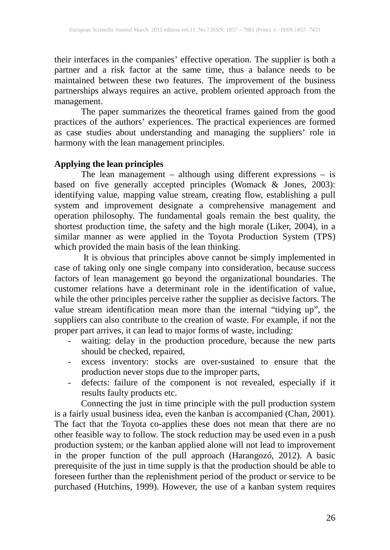their interfaces in the companies' effective operation. The supplier is both a partner and a risk factor at the same time, thus a balance needs to be maintained between these two features. The improvement of the business partnerships always requires an active, problem oriented approach from the management.

The paper summarizes the theoretical frames gained from the good practices of the authors' experiences. The practical experiences are formed as case studies about understanding and managing the suppliers' role in harmony with the lean management principles.

# **Applying the lean principles**

The lean management – although using different expressions – is based on five generally accepted principles (Womack & Jones, 2003): identifying value, mapping value stream, creating flow, establishing a pull system and improvement designate a comprehensive management and operation philosophy. The fundamental goals remain the best quality, the shortest production time, the safety and the high morale (Liker, 2004), in a similar manner as were applied in the Toyota Production System (TPS) which provided the main basis of the lean thinking.

It is obvious that principles above cannot be simply implemented in case of taking only one single company into consideration, because success factors of lean management go beyond the organizational boundaries. The customer relations have a determinant role in the identification of value, while the other principles perceive rather the supplier as decisive factors. The value stream identification mean more than the internal "tidying up", the suppliers can also contribute to the creation of waste. For example, if not the proper part arrives, it can lead to major forms of waste, including:

- waiting: delay in the production procedure, because the new parts should be checked, repaired,
- excess inventory: stocks are over-sustained to ensure that the production never stops due to the improper parts,
- defects: failure of the component is not revealed, especially if it results faulty products etc.

Connecting the just in time principle with the pull production system is a fairly usual business idea, even the kanban is accompanied (Chan, 2001). The fact that the Toyota co-applies these does not mean that there are no other feasible way to follow. The stock reduction may be used even in a push production system; or the kanban applied alone will not lead to improvement in the proper function of the pull approach (Harangozó, 2012). A basic prerequisite of the just in time supply is that the production should be able to foreseen further than the replenishment period of the product or service to be purchased (Hutchins, 1999). However, the use of a kanban system requires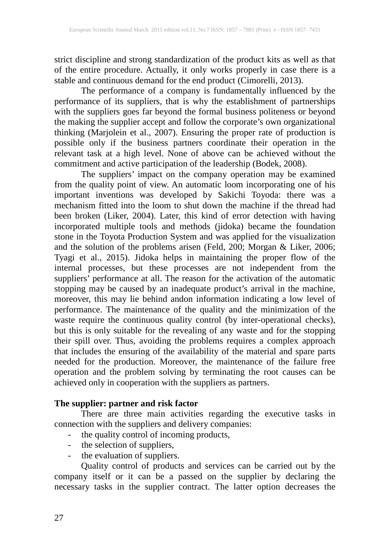strict discipline and strong standardization of the product kits as well as that of the entire procedure. Actually, it only works properly in case there is a stable and continuous demand for the end product (Cimorelli, 2013).

The performance of a company is fundamentally influenced by the performance of its suppliers, that is why the establishment of partnerships with the suppliers goes far beyond the formal business politeness or beyond the making the supplier accept and follow the corporate's own organizational thinking (Marjolein et al., 2007). Ensuring the proper rate of production is possible only if the business partners coordinate their operation in the relevant task at a high level. None of above can be achieved without the commitment and active participation of the leadership (Bodek, 2008).

The suppliers' impact on the company operation may be examined from the quality point of view. An automatic loom incorporating one of his important inventions was developed by Sakichi Toyoda: there was a mechanism fitted into the loom to shut down the machine if the thread had been broken (Liker, 2004). Later, this kind of error detection with having incorporated multiple tools and methods (jidoka) became the foundation stone in the Toyota Production System and was applied for the visualization and the solution of the problems arisen (Feld, 200; Morgan & Liker, 2006; Tyagi et al., 2015). Jidoka helps in maintaining the proper flow of the internal processes, but these processes are not independent from the suppliers' performance at all. The reason for the activation of the automatic stopping may be caused by an inadequate product's arrival in the machine, moreover, this may lie behind andon information indicating a low level of performance. The maintenance of the quality and the minimization of the waste require the continuous quality control (by inter-operational checks), but this is only suitable for the revealing of any waste and for the stopping their spill over. Thus, avoiding the problems requires a complex approach that includes the ensuring of the availability of the material and spare parts needed for the production. Moreover, the maintenance of the failure free operation and the problem solving by terminating the root causes can be achieved only in cooperation with the suppliers as partners.

# **The supplier: partner and risk factor**

There are three main activities regarding the executive tasks in connection with the suppliers and delivery companies:

- the quality control of incoming products,
- the selection of suppliers,
- the evaluation of suppliers.

Quality control of products and services can be carried out by the company itself or it can be a passed on the supplier by declaring the necessary tasks in the supplier contract. The latter option decreases the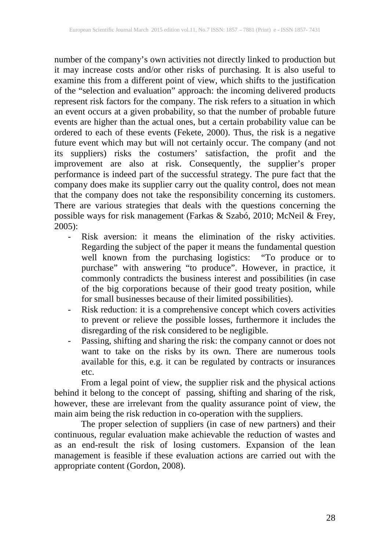number of the company's own activities not directly linked to production but it may increase costs and/or other risks of purchasing. It is also useful to examine this from a different point of view, which shifts to the justification of the "selection and evaluation" approach: the incoming delivered products represent risk factors for the company. The risk refers to a situation in which an event occurs at a given probability, so that the number of probable future events are higher than the actual ones, but a certain probability value can be ordered to each of these events (Fekete, 2000). Thus, the risk is a negative future event which may but will not certainly occur. The company (and not its suppliers) risks the costumers' satisfaction, the profit and the improvement are also at risk. Consequently, the supplier's proper performance is indeed part of the successful strategy. The pure fact that the company does make its supplier carry out the quality control, does not mean that the company does not take the responsibility concerning its customers. There are various strategies that deals with the questions concerning the possible ways for risk management (Farkas & Szabó, 2010; McNeil & Frey, 2005):

- Risk aversion: it means the elimination of the risky activities. Regarding the subject of the paper it means the fundamental question well known from the purchasing logistics: "To produce or to purchase" with answering "to produce". However, in practice, it commonly contradicts the business interest and possibilities (in case of the big corporations because of their good treaty position, while for small businesses because of their limited possibilities).
- Risk reduction: it is a comprehensive concept which covers activities to prevent or relieve the possible losses, furthermore it includes the disregarding of the risk considered to be negligible.
- Passing, shifting and sharing the risk: the company cannot or does not want to take on the risks by its own. There are numerous tools available for this, e.g. it can be regulated by contracts or insurances etc.

From a legal point of view, the supplier risk and the physical actions behind it belong to the concept of passing, shifting and sharing of the risk, however, these are irrelevant from the quality assurance point of view, the main aim being the risk reduction in co-operation with the suppliers.

The proper selection of suppliers (in case of new partners) and their continuous, regular evaluation make achievable the reduction of wastes and as an end-result the risk of losing customers. Expansion of the lean management is feasible if these evaluation actions are carried out with the appropriate content (Gordon, 2008).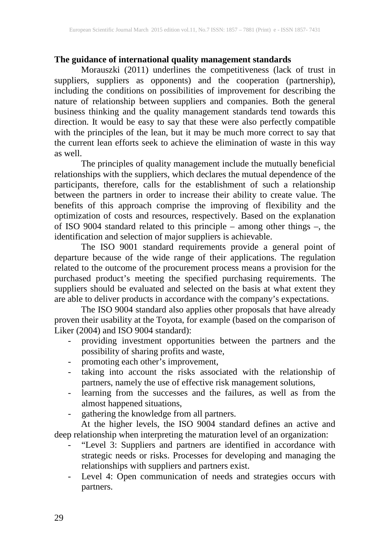# **The guidance of international quality management standards**

Morauszki (2011) underlines the competitiveness (lack of trust in suppliers, suppliers as opponents) and the cooperation (partnership), including the conditions on possibilities of improvement for describing the nature of relationship between suppliers and companies. Both the general business thinking and the quality management standards tend towards this direction. It would be easy to say that these were also perfectly compatible with the principles of the lean, but it may be much more correct to say that the current lean efforts seek to achieve the elimination of waste in this way as well.

The principles of quality management include the mutually beneficial relationships with the suppliers, which declares the mutual dependence of the participants, therefore, calls for the establishment of such a relationship between the partners in order to increase their ability to create value. The benefits of this approach comprise the improving of flexibility and the optimization of costs and resources, respectively. Based on the explanation of ISO 9004 standard related to this principle – among other things –, the identification and selection of major suppliers is achievable.

The ISO 9001 standard requirements provide a general point of departure because of the wide range of their applications. The regulation related to the outcome of the procurement process means a provision for the purchased product's meeting the specified purchasing requirements. The suppliers should be evaluated and selected on the basis at what extent they are able to deliver products in accordance with the company's expectations.

The ISO 9004 standard also applies other proposals that have already proven their usability at the Toyota, for example (based on the comparison of Liker (2004) and ISO 9004 standard):

- providing investment opportunities between the partners and the possibility of sharing profits and waste,
- promoting each other's improvement,
- taking into account the risks associated with the relationship of partners, namely the use of effective risk management solutions,
- learning from the successes and the failures, as well as from the almost happened situations,
- gathering the knowledge from all partners.

At the higher levels, the ISO 9004 standard defines an active and deep relationship when interpreting the maturation level of an organization:

- "Level 3: Suppliers and partners are identified in accordance with strategic needs or risks. Processes for developing and managing the relationships with suppliers and partners exist.
- Level 4: Open communication of needs and strategies occurs with partners.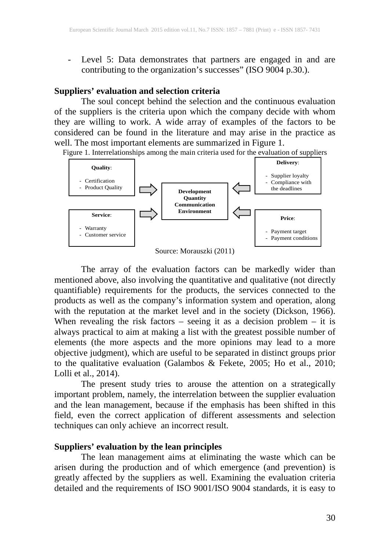- Level 5: Data demonstrates that partners are engaged in and are contributing to the organization's successes" (ISO 9004 p.30.).

# **Suppliers' evaluation and selection criteria**

The soul concept behind the selection and the continuous evaluation of the suppliers is the criteria upon which the company decide with whom they are willing to work. A wide array of examples of the factors to be considered can be found in the literature and may arise in the practice as well. The most important elements are summarized in Figure 1.

Figure 1. Interrelationships among the main criteria used for the evaluation of suppliers



Source: Morauszki (2011)

The array of the evaluation factors can be markedly wider than mentioned above, also involving the quantitative and qualitative (not directly quantifiable) requirements for the products, the services connected to the products as well as the company's information system and operation, along with the reputation at the market level and in the society (Dickson, 1966). When revealing the risk factors – seeing it as a decision problem – it is always practical to aim at making a list with the greatest possible number of elements (the more aspects and the more opinions may lead to a more objective judgment), which are useful to be separated in distinct groups prior to the qualitative evaluation (Galambos & Fekete, 2005; Ho et al., 2010; Lolli et al., 2014).

The present study tries to arouse the attention on a strategically important problem, namely, the interrelation between the supplier evaluation and the lean management, because if the emphasis has been shifted in this field, even the correct application of different assessments and selection techniques can only achieve an incorrect result.

#### **Suppliers' evaluation by the lean principles**

The lean management aims at eliminating the waste which can be arisen during the production and of which emergence (and prevention) is greatly affected by the suppliers as well. Examining the evaluation criteria detailed and the requirements of ISO 9001/ISO 9004 standards, it is easy to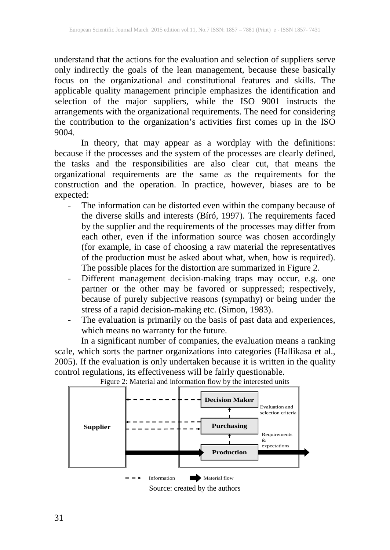understand that the actions for the evaluation and selection of suppliers serve only indirectly the goals of the lean management, because these basically focus on the organizational and constitutional features and skills. The applicable quality management principle emphasizes the identification and selection of the major suppliers, while the ISO 9001 instructs the arrangements with the organizational requirements. The need for considering the contribution to the organization's activities first comes up in the ISO 9004.

In theory, that may appear as a wordplay with the definitions: because if the processes and the system of the processes are clearly defined, the tasks and the responsibilities are also clear cut, that means the organizational requirements are the same as the requirements for the construction and the operation. In practice, however, biases are to be expected:

- The information can be distorted even within the company because of the diverse skills and interests (Bíró, 1997). The requirements faced by the supplier and the requirements of the processes may differ from each other, even if the information source was chosen accordingly (for example, in case of choosing a raw material the representatives of the production must be asked about what, when, how is required). The possible places for the distortion are summarized in Figure 2.
- Different management decision-making traps may occur, e.g. one partner or the other may be favored or suppressed; respectively, because of purely subjective reasons (sympathy) or being under the stress of a rapid decision-making etc. (Simon, 1983).
- The evaluation is primarily on the basis of past data and experiences, which means no warranty for the future.

In a significant number of companies, the evaluation means a ranking scale, which sorts the partner organizations into categories (Hallikasa et al., 2005). If the evaluation is only undertaken because it is written in the quality control regulations, its effectiveness will be fairly questionable.



Figure 2: Material and information flow by the interested units

Source: created by the authors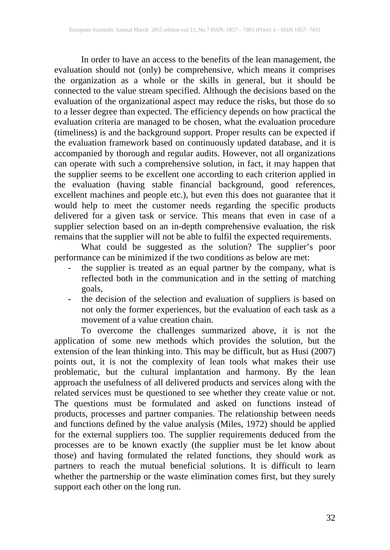In order to have an access to the benefits of the lean management, the evaluation should not (only) be comprehensive, which means it comprises the organization as a whole or the skills in general, but it should be connected to the value stream specified. Although the decisions based on the evaluation of the organizational aspect may reduce the risks, but those do so to a lesser degree than expected. The efficiency depends on how practical the evaluation criteria are managed to be chosen, what the evaluation procedure (timeliness) is and the background support. Proper results can be expected if the evaluation framework based on continuously updated database, and it is accompanied by thorough and regular audits. However, not all organizations can operate with such a comprehensive solution, in fact, it may happen that the supplier seems to be excellent one according to each criterion applied in the evaluation (having stable financial background, good references, excellent machines and people etc.), but even this does not guarantee that it would help to meet the customer needs regarding the specific products delivered for a given task or service. This means that even in case of a supplier selection based on an in-depth comprehensive evaluation, the risk remains that the supplier will not be able to fulfil the expected requirements.

What could be suggested as the solution? The supplier's poor performance can be minimized if the two conditions as below are met:

- the supplier is treated as an equal partner by the company, what is reflected both in the communication and in the setting of matching goals,
- the decision of the selection and evaluation of suppliers is based on not only the former experiences, but the evaluation of each task as a movement of a value creation chain.

To overcome the challenges summarized above, it is not the application of some new methods which provides the solution, but the extension of the lean thinking into. This may be difficult, but as Husi (2007) points out, it is not the complexity of lean tools what makes their use problematic, but the cultural implantation and harmony. By the lean approach the usefulness of all delivered products and services along with the related services must be questioned to see whether they create value or not. The questions must be formulated and asked on functions instead of products, processes and partner companies. The relationship between needs and functions defined by the value analysis (Miles, 1972) should be applied for the external suppliers too. The supplier requirements deduced from the processes are to be known exactly (the supplier must be let know about those) and having formulated the related functions, they should work as partners to reach the mutual beneficial solutions. It is difficult to learn whether the partnership or the waste elimination comes first, but they surely support each other on the long run.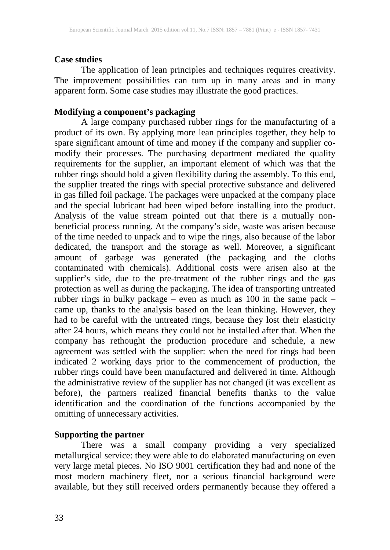#### **Case studies**

The application of lean principles and techniques requires creativity. The improvement possibilities can turn up in many areas and in many apparent form. Some case studies may illustrate the good practices.

# **Modifying a component's packaging**

A large company purchased rubber rings for the manufacturing of a product of its own. By applying more lean principles together, they help to spare significant amount of time and money if the company and supplier comodify their processes. The purchasing department mediated the quality requirements for the supplier, an important element of which was that the rubber rings should hold a given flexibility during the assembly. To this end, the supplier treated the rings with special protective substance and delivered in gas filled foil package. The packages were unpacked at the company place and the special lubricant had been wiped before installing into the product. Analysis of the value stream pointed out that there is a mutually nonbeneficial process running. At the company's side, waste was arisen because of the time needed to unpack and to wipe the rings, also because of the labor dedicated, the transport and the storage as well. Moreover, a significant amount of garbage was generated (the packaging and the cloths contaminated with chemicals). Additional costs were arisen also at the supplier's side, due to the pre-treatment of the rubber rings and the gas protection as well as during the packaging. The idea of transporting untreated rubber rings in bulky package – even as much as 100 in the same pack – came up, thanks to the analysis based on the lean thinking. However, they had to be careful with the untreated rings, because they lost their elasticity after 24 hours, which means they could not be installed after that. When the company has rethought the production procedure and schedule, a new agreement was settled with the supplier: when the need for rings had been indicated 2 working days prior to the commencement of production, the rubber rings could have been manufactured and delivered in time. Although the administrative review of the supplier has not changed (it was excellent as before), the partners realized financial benefits thanks to the value identification and the coordination of the functions accompanied by the omitting of unnecessary activities.

#### **Supporting the partner**

There was a small company providing a very specialized metallurgical service: they were able to do elaborated manufacturing on even very large metal pieces. No ISO 9001 certification they had and none of the most modern machinery fleet, nor a serious financial background were available, but they still received orders permanently because they offered a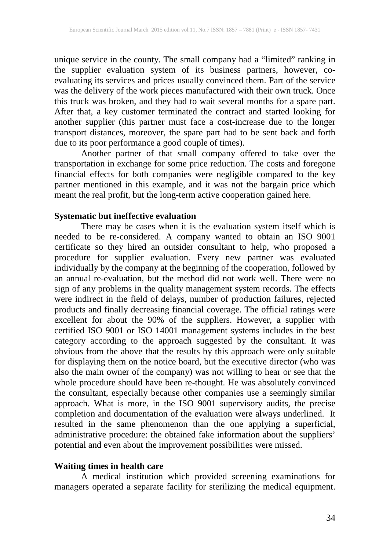unique service in the county. The small company had a "limited" ranking in the supplier evaluation system of its business partners, however, coevaluating its services and prices usually convinced them. Part of the service was the delivery of the work pieces manufactured with their own truck. Once this truck was broken, and they had to wait several months for a spare part. After that, a key customer terminated the contract and started looking for another supplier (this partner must face a cost-increase due to the longer transport distances, moreover, the spare part had to be sent back and forth due to its poor performance a good couple of times).

Another partner of that small company offered to take over the transportation in exchange for some price reduction. The costs and foregone financial effects for both companies were negligible compared to the key partner mentioned in this example, and it was not the bargain price which meant the real profit, but the long-term active cooperation gained here.

# **Systematic but ineffective evaluation**

There may be cases when it is the evaluation system itself which is needed to be re-considered. A company wanted to obtain an ISO 9001 certificate so they hired an outsider consultant to help, who proposed a procedure for supplier evaluation. Every new partner was evaluated individually by the company at the beginning of the cooperation, followed by an annual re-evaluation, but the method did not work well. There were no sign of any problems in the quality management system records. The effects were indirect in the field of delays, number of production failures, rejected products and finally decreasing financial coverage. The official ratings were excellent for about the 90% of the suppliers. However, a supplier with certified ISO 9001 or ISO 14001 management systems includes in the best category according to the approach suggested by the consultant. It was obvious from the above that the results by this approach were only suitable for displaying them on the notice board, but the executive director (who was also the main owner of the company) was not willing to hear or see that the whole procedure should have been re-thought. He was absolutely convinced the consultant, especially because other companies use a seemingly similar approach. What is more, in the ISO 9001 supervisory audits, the precise completion and documentation of the evaluation were always underlined. It resulted in the same phenomenon than the one applying a superficial, administrative procedure: the obtained fake information about the suppliers' potential and even about the improvement possibilities were missed.

# **Waiting times in health care**

A medical institution which provided screening examinations for managers operated a separate facility for sterilizing the medical equipment.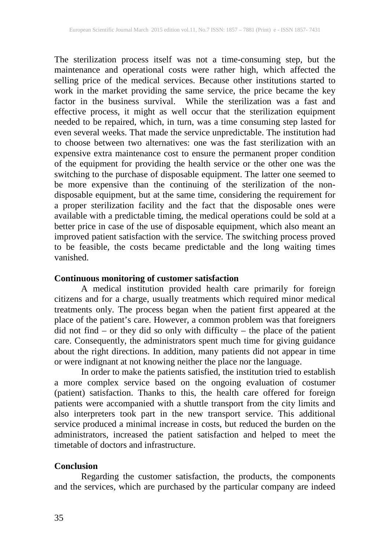The sterilization process itself was not a time-consuming step, but the maintenance and operational costs were rather high, which affected the selling price of the medical services. Because other institutions started to work in the market providing the same service, the price became the key factor in the business survival. While the sterilization was a fast and effective process, it might as well occur that the sterilization equipment needed to be repaired, which, in turn, was a time consuming step lasted for even several weeks. That made the service unpredictable. The institution had to choose between two alternatives: one was the fast sterilization with an expensive extra maintenance cost to ensure the permanent proper condition of the equipment for providing the health service or the other one was the switching to the purchase of disposable equipment. The latter one seemed to be more expensive than the continuing of the sterilization of the nondisposable equipment, but at the same time, considering the requirement for a proper sterilization facility and the fact that the disposable ones were available with a predictable timing, the medical operations could be sold at a better price in case of the use of disposable equipment, which also meant an improved patient satisfaction with the service. The switching process proved to be feasible, the costs became predictable and the long waiting times vanished.

# **Continuous monitoring of customer satisfaction**

A medical institution provided health care primarily for foreign citizens and for a charge, usually treatments which required minor medical treatments only. The process began when the patient first appeared at the place of the patient's care. However, a common problem was that foreigners did not find – or they did so only with difficulty – the place of the patient care. Consequently, the administrators spent much time for giving guidance about the right directions. In addition, many patients did not appear in time or were indignant at not knowing neither the place nor the language.

In order to make the patients satisfied, the institution tried to establish a more complex service based on the ongoing evaluation of costumer (patient) satisfaction. Thanks to this, the health care offered for foreign patients were accompanied with a shuttle transport from the city limits and also interpreters took part in the new transport service. This additional service produced a minimal increase in costs, but reduced the burden on the administrators, increased the patient satisfaction and helped to meet the timetable of doctors and infrastructure.

#### **Conclusion**

Regarding the customer satisfaction, the products, the components and the services, which are purchased by the particular company are indeed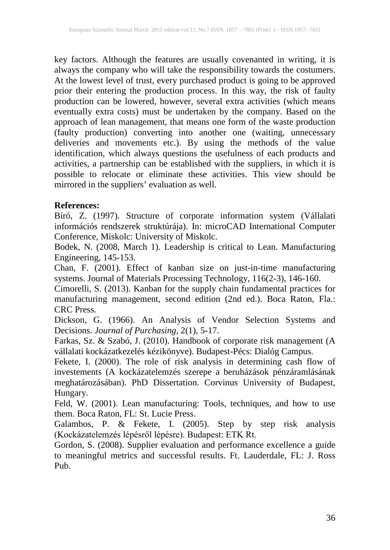key factors. Although the features are usually covenanted in writing, it is always the company who will take the responsibility towards the costumers. At the lowest level of trust, every purchased product is going to be approved prior their entering the production process. In this way, the risk of faulty production can be lowered, however, several extra activities (which means eventually extra costs) must be undertaken by the company. Based on the approach of lean management, that means one form of the waste production (faulty production) converting into another one (waiting, unnecessary deliveries and movements etc.). By using the methods of the value identification, which always questions the usefulness of each products and activities, a partnership can be established with the suppliers, in which it is possible to relocate or eliminate these activities. This view should be mirrored in the suppliers' evaluation as well.

### **References:**

Bíró, Z. (1997). Structure of corporate information system (Vállalati információs rendszerek struktúrája). In: microCAD International Computer Conference, Miskolc: University of Miskolc.

Bodek, N. (2008, March 1). Leadership is critical to Lean. Manufacturing Engineering, 145-153.

Chan, F. (2001). Effect of kanban size on just-in-time manufacturing systems. Journal of Materials Processing Technology, 116(2-3), 146-160.

Cimorelli, S. (2013). Kanban for the supply chain fundamental practices for manufacturing management, second edition (2nd ed.). Boca Raton, Fla.: CRC Press.

Dickson, G. (1966). An Analysis of Vendor Selection Systems and Decisions. *Journal of Purchasing*, 2(1), 5-17.

Farkas, Sz. & Szabó, J. (2010). Handbook of corporate risk management (A vállalati kockázatkezelés kézikönyve). Budapest-Pécs: Dialóg Campus.

Fekete, I. (2000). The role of risk analysis in determining cash flow of investements (A kockázatelemzés szerepe a beruházások pénzáramlásának meghatározásában). PhD Dissertation. Corvinus University of Budapest, Hungary.

Feld, W. (2001). Lean manufacturing: Tools, techniques, and how to use them. Boca Raton, FL: St. Lucie Press.

Galambos, P. & Fekete, I. (2005). Step by step risk analysis (Kockázatelemzés lépésről lépésre). Budapest: ETK Rt.

Gordon, S. (2008). Supplier evaluation and performance excellence a guide to meaningful metrics and successful results. Ft. Lauderdale, FL: J. Ross Pub.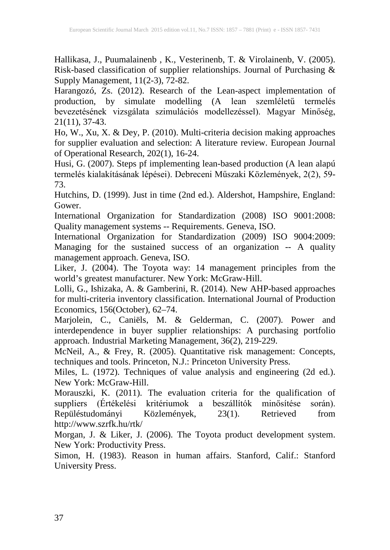Hallikasa, J., Puumalainenb , K., Vesterinenb, T. & Virolainenb, V. (2005). Risk-based classification of supplier relationships. Journal of Purchasing & Supply Management, 11(2-3), 72-82.

Harangozó, Zs. (2012). Research of the Lean-aspect implementation of production, by simulate modelling (A lean szemléletű termelés bevezetésének vizsgálata szimulációs modellezéssel). Magyar Minőség, 21(11), 37-43.

Ho, W., Xu, X. & Dey, P. (2010). Multi-criteria decision making approaches for supplier evaluation and selection: A literature review. European Journal of Operational Research, 202(1), 16-24.

Husi, G. (2007). Steps pf implementing lean-based production (A lean alapú termelés kialakításának lépései). Debreceni Műszaki Közlemények, 2(2), 59- 73.

Hutchins, D. (1999). Just in time (2nd ed.). Aldershot, Hampshire, England: Gower.

International Organization for Standardization (2008) ISO 9001:2008: Quality management systems -- Requirements. Geneva, ISO.

International Organization for Standardization (2009) ISO 9004:2009: Managing for the sustained success of an organization -- A quality management approach. Geneva, ISO.

Liker, J. (2004). The Toyota way: 14 management principles from the world's greatest manufacturer. New York: McGraw-Hill.

Lolli, G., Ishizaka, A. & Gamberini, R. (2014). New AHP-based approaches for multi-criteria inventory classification. International Journal of Production Economics, 156(October), 62–74.

Marjolein, C., Caniëls, M. & Gelderman, C. (2007). Power and interdependence in buyer supplier relationships: A purchasing portfolio approach. Industrial Marketing Management, 36(2), 219-229.

McNeil, A., & Frey, R. (2005). Quantitative risk management: Concepts, techniques and tools. Princeton, N.J.: Princeton University Press.

Miles, L. (1972). Techniques of value analysis and engineering (2d ed.). New York: McGraw-Hill.

Morauszki, K. (2011). The evaluation criteria for the qualification of suppliers (Értékelési kritériumok a beszállítók minősítése során). Repüléstudományi Közlemények, 23(1). Retrieved from http://www.szrfk.hu/rtk/

Morgan, J. & Liker, J. (2006). The Toyota product development system. New York: Productivity Press.

Simon, H. (1983). Reason in human affairs. Stanford, Calif.: Stanford University Press.